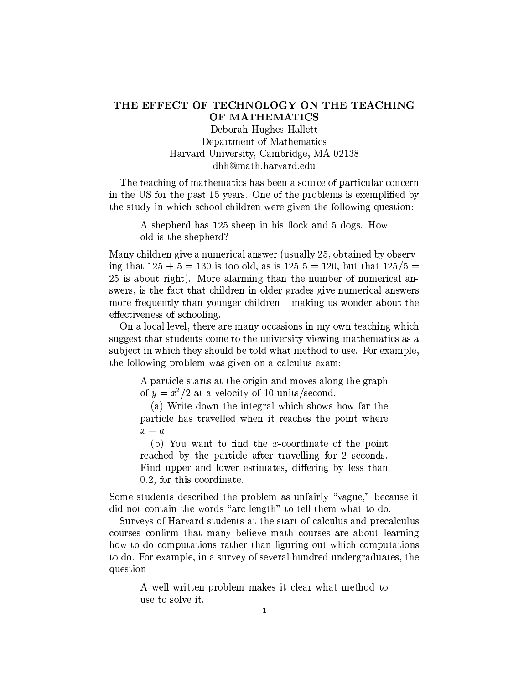## THE EFFECT OF TECHNOLOGY ON THE TEACHING OF MATHEMATICS

Deborah Hughes Hallett Department of Mathematics Harvard University, Cambridge, MA 02138 dhh@math.harvard.edu

The teaching of mathematics has been a source of particular concern in the US for the past 15 years. One of the problems is exemplified by the study in which school children were given the following question:

> A shepherd has 125 sheep in his flock and 5 dogs. How old is the shepherd?

Many children give a numerical answer (usually 25, obtained by observing that  $125 + 5 = 130$  is too old, as is  $125-5 = 120$ , but that  $125/5 =$ 25 is about right). More alarming than the number of numerical answers, is the fact that children in older grades give numerical answers more frequently than younger children – making us wonder about the effectiveness of schooling.

On a local level, there are many occasions in my own teaching which suggest that students come to the university viewing mathematics as a subject in which they should be told what method to use. For example, the following problem was given on a calculus exam:

A particle starts at the origin and moves along the graph of  $y = x^2/2$  at a velocity of 10 units/second.

(a) Write down the integral which shows how far the particle has travelled when it reaches the point where  $x = a$ .

(b) You want to find the x-coordinate of the point reached by the particle after travelling for 2 seconds. Find upper and lower estimates, differing by less than 0.2, for this coordinate.

Some students described the problem as unfairly "vague," because it did not contain the words "arc length" to tell them what to do.

Surveys of Harvard students at the start of calculus and precalculus courses confirm that many believe math courses are about learning how to do computations rather than figuring out which computations to do. For example, in a survey of several hundred undergraduates, the question

A well-written problem makes it clear what method to use to solve it.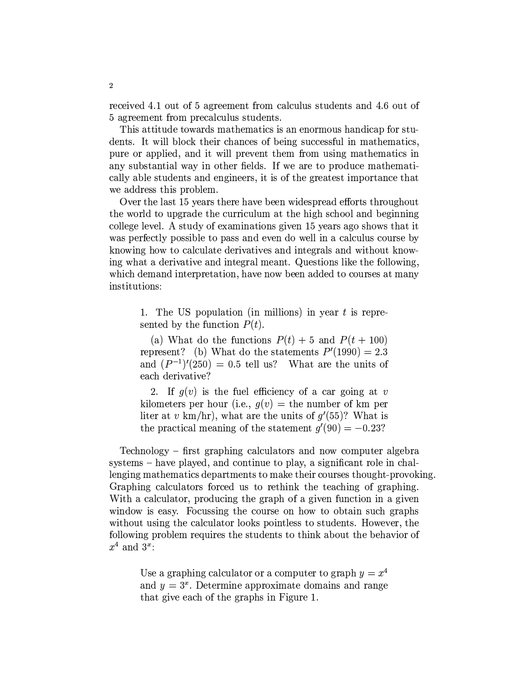received 4.1 out of 5 agreement from calculus students and 4.6 out of 5 agreement from precalculus students.

This attitude towards mathematics is an enormous handicap for students. It will block their chances of being successful in mathematics, pure or applied, and it will prevent them from using mathematics in any substantial way in other fields. If we are to produce mathematically able students and engineers, it is of the greatest importance that we address this problem.

Over the last 15 years there have been widespread efforts throughout the world to upgrade the curriculum at the high school and beginning college level. A study of examinations given 15 years ago shows that it was perfectly possible to pass and even do well in a calculus course by knowing how to calculate derivatives and integrals and without knowing what a derivative and integral meant. Questions like the following, which demand interpretation, have now been added to courses at many institutions:

1. The US population (in millions) in year  $t$  is represented by the function  $P(t)$ .

(a) What do the functions  $P(t) + 5$  and  $P(t + 100)$ represent? (b) What do the statements  $P'(1990) = 2.3$ and  $(P^{-1})'(250) = 0.5$  tell us? What are the units of each derivative?

2. If  $q(v)$  is the fuel efficiency of a car going at v kilometers per hour (i.e.,  $q(v) =$  the number of km per liter at v km/hr), what are the units of  $g'(55)$ ? What is the practical meaning of the statement  $q'(90) = -0.23$ ?

Technology – first graphing calculators and now computer algebra systems – have played, and continue to play, a significant role in challenging mathematics departments to make their courses thought-provoking. Graphing calculators forced us to rethink the teaching of graphing. With a calculator, producing the graph of a given function in a given window is easy. Focussing the course on how to obtain such graphs without using the calculator looks pointless to students. However, the following problem requires the students to think about the behavior of  $x^4$  and  $3^x$ :

Use a graphing calculator or a computer to graph  $y = x^4$ and  $y = 3<sup>x</sup>$ . Determine approximate domains and range that give each of the graphs in Figure 1.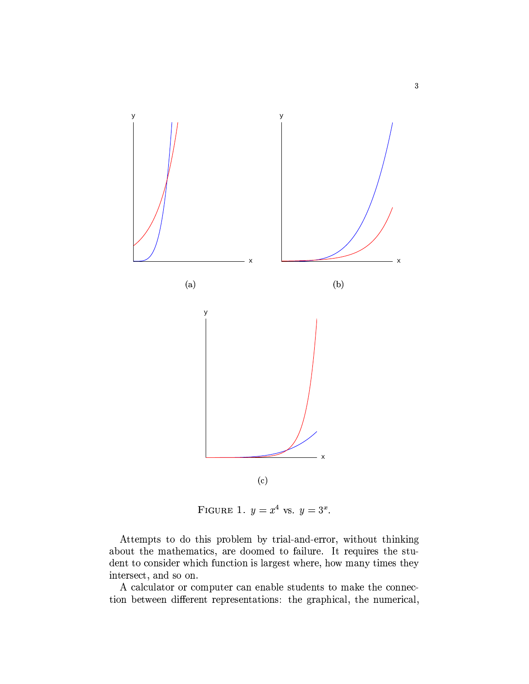

FIGURE 1.  $y = x^4$  vs.  $y = 3^x$ .

Attempts to do this problem by trial-and-error, without thinking about the mathematics, are doomed to failure. It requires the student to consider which function is largest where, how many times they intersect, and so on.

A calculator or computer can enable students to make the connection between different representations: the graphical, the numerical,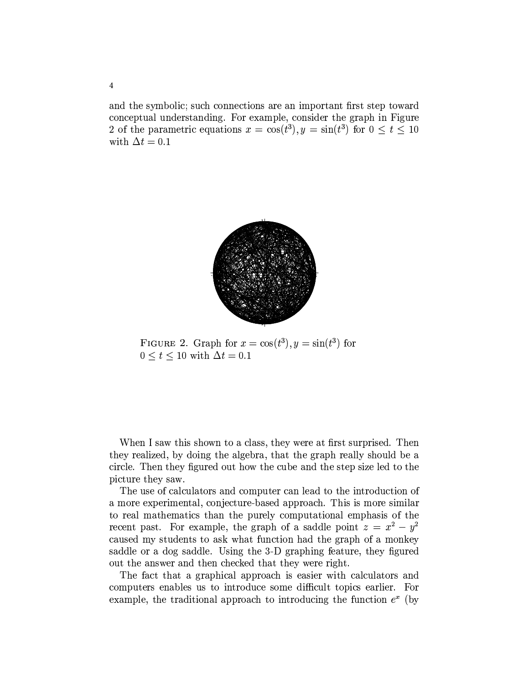and the symbolic; such connections are an important first step toward conceptual understanding. For example, consider the graph in Figure 2 of the parametric equations  $x = \cos(t^3)$ ,  $y = \sin(t^3)$  for  $0 \le t \le 10$ with  $\Delta t = 0.1$ 



FIGURE 2. Graph for  $x = \cos(t^3)$ ,  $y = \sin(t^3)$  for  $0 \le t \le 10$  with  $\Delta t = 0.1$ 

When I saw this shown to a class, they were at first surprised. Then they realized, by doing the algebra, that the graph really should be a circle. Then they figured out how the cube and the step size led to the picture they saw.

The use of calculators and computer can lead to the introduction of a more experimental, conjecture-based approach. This is more similar to real mathematics than the purely computational emphasis of the recent past. For example, the graph of a saddle point  $z = x^2 - y^2$ caused my students to ask what function had the graph of a monkey saddle or a dog saddle. Using the 3-D graphing feature, they figured out the answer and then checked that they were right.

The fact that a graphical approach is easier with calculators and computers enables us to introduce some difficult topics earlier. For example, the traditional approach to introducing the function  $e^x$  (by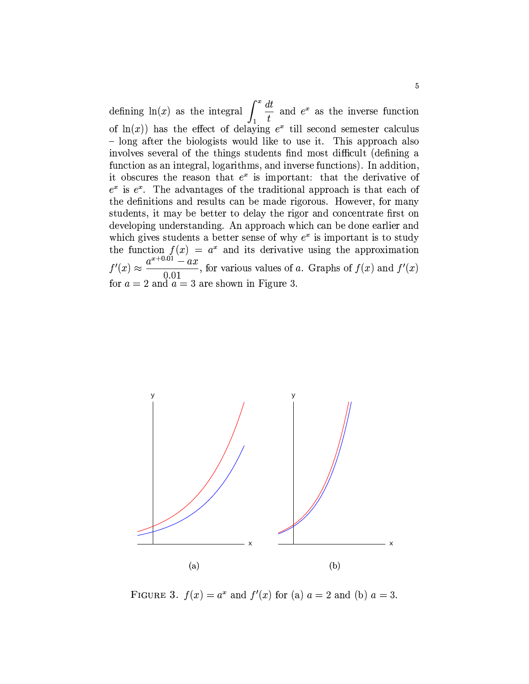defining ln(x) as the integral  $\int_1^x \frac{dt}{t}$  and  $e^x$  as the inverse function of  $\ln(x)$  has the effect of delaying  $e^x$  till second semester calculus - long after the biologists would like to use it. This approach also involves several of the things students find most difficult (defining a function as an integral, logarithms, and inverse functions). In addition, it obscures the reason that  $e^x$  is important: that the derivative of  $e^x$  is  $e^x$ . The advantages of the traditional approach is that each of the definitions and results can be made rigorous. However, for many students, it may be better to delay the rigor and concentrate first on developing understanding. An approach which can be done earlier and which gives students a better sense of why  $e^x$  is important is to study the function  $f(x) = a^x$  and its derivative using the approximation  $\frac{a^{x+0.01}-ax}{0.01}$ , for various values of a. Graphs of  $f(x)$  and  $f'(x)$  $f'(x) \approx$ for  $a = 2$  and  $a = 3$  are shown in Figure 3.



FIGURE 3.  $f(x) = a^x$  and  $f'(x)$  for (a)  $a = 2$  and (b)  $a = 3$ .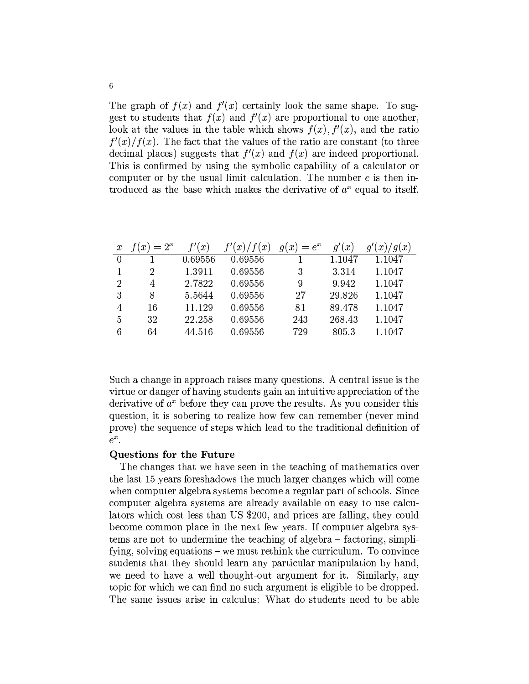The graph of  $f(x)$  and  $f'(x)$  certainly look the same shape. To suggest to students that  $f(x)$  and  $f'(x)$  are proportional to one another, look at the values in the table which shows  $f(x)$ ,  $f'(x)$ , and the ratio  $f'(x)/f(x)$ . The fact that the values of the ratio are constant (to three decimal places) suggests that  $f'(x)$  and  $f(x)$  are indeed proportional. This is confirmed by using the symbolic capability of a calculator or computer or by the usual limit calculation. The number  $e$  is then introduced as the base which makes the derivative of  $a^x$  equal to itself.

| $\boldsymbol{x}$ | $=2^x$<br>$\boldsymbol{x}$ | (x <sup>2</sup> ) | f'(x)<br>f(x) | $= e^x$<br>x)<br>q١ | g'(x)  | 'g(x)<br>$\mathfrak{g}'$<br>$\boldsymbol{x}$ |
|------------------|----------------------------|-------------------|---------------|---------------------|--------|----------------------------------------------|
|                  |                            | 0.69556           | 0.69556       |                     | 1.1047 | 1.1047                                       |
|                  | 2                          | 1.3911            | 0.69556       | 3                   | 3.314  | 1.1047                                       |
| $\overline{2}$   | 4                          | 2.7822            | 0.69556       | 9                   | 9.942  | 1.1047                                       |
| 3                | 8                          | 5.5644            | 0.69556       | 27                  | 29.826 | 1.1047                                       |
| 4                | 16                         | 11.129            | 0.69556       | 81                  | 89.478 | 1.1047                                       |
| 5                | 32                         | 22.258            | 0.69556       | 243                 | 268.43 | 1.1047                                       |
| 6                | 64                         | 44.516            | 0.69556       | 729                 | 805.3  | 1.1047                                       |

Such a change in approach raises many questions. A central issue is the virtue or danger of having students gain an intuitive appreciation of the derivative of  $a^x$  before they can prove the results. As you consider this question, it is sobering to realize how few can remember (never mind prove) the sequence of steps which lead to the traditional definition of  $e^x$ .

## Questions for the Future

The changes that we have seen in the teaching of mathematics over the last 15 years foreshadows the much larger changes which will come when computer algebra systems become a regular part of schools. Since computer algebra systems are already available on easy to use calculators which cost less than US \$200, and prices are falling, they could become common place in the next few years. If computer algebra systems are not to undermine the teaching of algebra – factoring, simplifying, solving equations – we must rethink the curriculum. To convince students that they should learn any particular manipulation by hand, we need to have a well thought-out argument for it. Similarly, any topic for which we can find no such argument is eligible to be dropped. The same issues arise in calculus: What do students need to be able